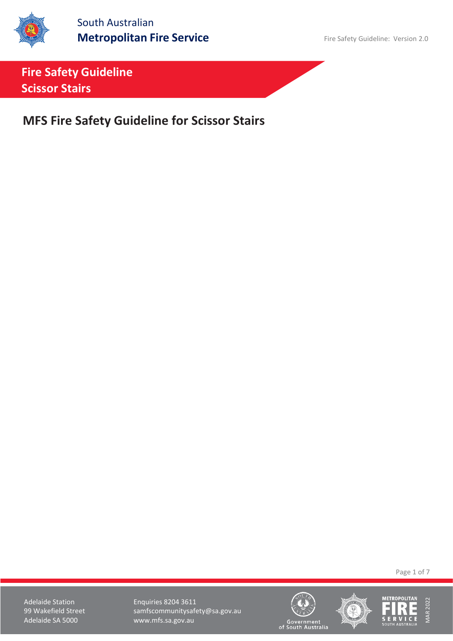

South Australian **Metropolitan Fire Service** Fire Safety Guideline: Version 2.0

**Fire Safety Guideline Scissor Stairs**

**MFS Fire Safety Guideline for Scissor Stairs**

Page 1 of 7

Adelaide Station **Enquiries 8204 3611** 99 Wakefield Street samfscommunitysafety@sa.gov.au<br>Adelaide SA 5000 www.mfs.sa.gov.au www.mfs.sa.gov.au





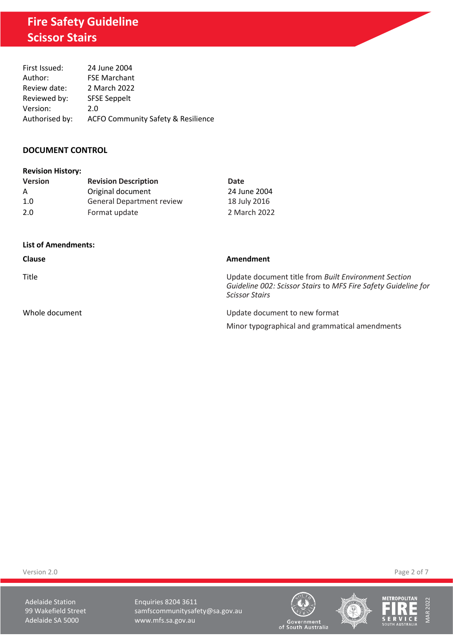# **Fire Safety Guideline Scissor Stairs**

| First Issued:  | 24 June 2004                                  |
|----------------|-----------------------------------------------|
| Author:        | <b>FSE Marchant</b>                           |
| Review date:   | 2 March 2022                                  |
| Reviewed by:   | <b>SFSE Seppelt</b>                           |
| Version:       | 2.0                                           |
| Authorised by: | <b>ACFO Community Safety &amp; Resilience</b> |

## **DOCUMENT CONTROL**

| <b>Revision History:</b> |                |
|--------------------------|----------------|
| Varcion                  | <b>Dovicio</b> |

| <b>Version</b> | <b>Revision Description</b>      | Date         |
|----------------|----------------------------------|--------------|
| A              | Original document                | 24 June 2004 |
| 1.0            | <b>General Department review</b> | 18 July 2016 |
| 2.0            | Format update                    | 2 March 2022 |

#### **List of Amendments:**

| <b>Clause</b>  | Amendment                                                                                                                                       |
|----------------|-------------------------------------------------------------------------------------------------------------------------------------------------|
| Title          | Update document title from Built Environment Section<br>Guideline 002: Scissor Stairs to MFS Fire Safety Guideline for<br><b>Scissor Stairs</b> |
| Whole document | Update document to new format                                                                                                                   |
|                | Minor typographical and grammatical amendments                                                                                                  |

Version 2.0 Page 2 of 7

Adelaide Station **Enquiries 8204 3611** 99 Wakefield Street samfscommunitysafety@sa.gov.au<br>Adelaide SA 5000 www.mfs.sa.gov.au www.mfs.sa.gov.au





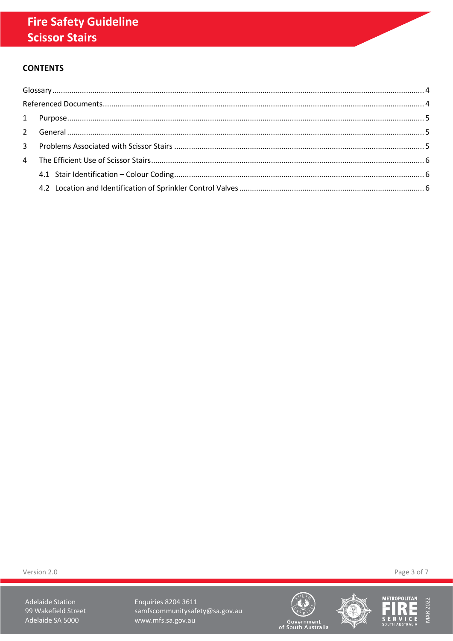## **CONTENTS**

Version 2.0

**Adelaide Station** 99 Wakefield Street Adelaide SA 5000

Enquiries 8204 3611 samfscommunitysafety@sa.gov.au www.mfs.sa.gov.au







Government<br>of South Australia

Page 3 of 7

**MAR 2022**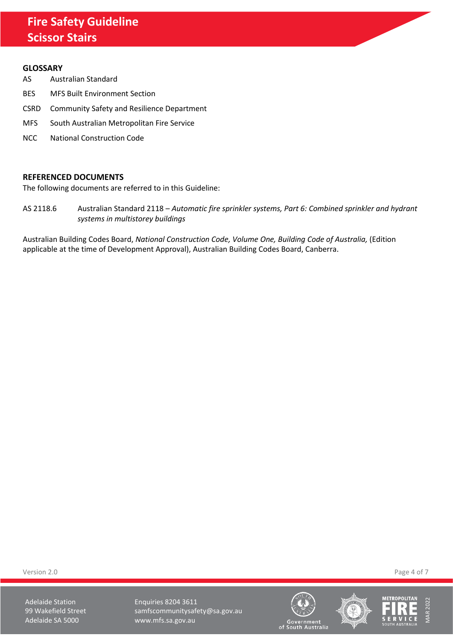## **Fire Safety Guideline Scissor Stairs**

#### <span id="page-3-0"></span>**GLOSSARY**

- AS Australian Standard
- BES MFS Built Environment Section
- CSRD Community Safety and Resilience Department
- MFS South Australian Metropolitan Fire Service
- NCC National Construction Code

#### <span id="page-3-1"></span>**REFERENCED DOCUMENTS**

The following documents are referred to in this Guideline:

AS 2118.6 Australian Standard 2118 – *Automatic fire sprinkler systems, Part 6: Combined sprinkler and hydrant systems in multistorey buildings*

Australian Building Codes Board, *National Construction Code, Volume One, Building Code of Australia,* (Edition applicable at the time of Development Approval), Australian Building Codes Board, Canberra.

Version 2.0 Page 4 of 7

Adelaide Station **Enquiries 8204 3611** 99 Wakefield Street samfscommunitysafety@sa.gov.au Adelaide SA 5000 www.mfs.sa.gov.au





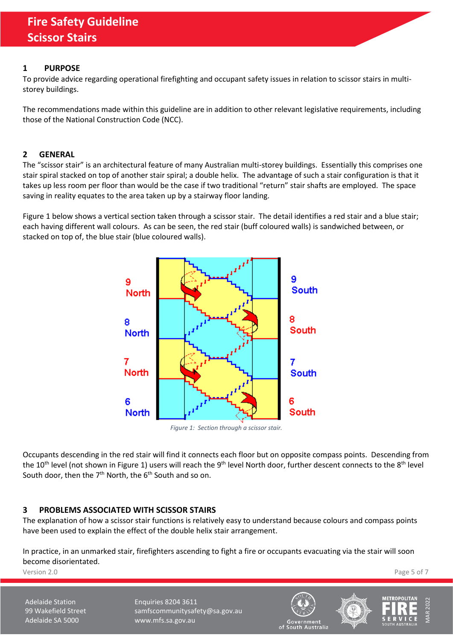#### <span id="page-4-0"></span>**1 PURPOSE**

To provide advice regarding operational firefighting and occupant safety issues in relation to scissor stairs in multistorey buildings.

The recommendations made within this guideline are in addition to other relevant legislative requirements, including those of the National Construction Code (NCC).

#### <span id="page-4-1"></span>**2 GENERAL**

The "scissor stair" is an architectural feature of many Australian multi-storey buildings. Essentially this comprises one stair spiral stacked on top of another stair spiral; a double helix. The advantage of such a stair configuration is that it takes up less room per floor than would be the case if two traditional "return" stair shafts are employed. The space saving in reality equates to the area taken up by a stairway floor landing.

[Figure 1](#page-4-3) below shows a vertical section taken through a scissor stair. The detail identifies a red stair and a blue stair; each having different wall colours. As can be seen, the red stair (buff coloured walls) is sandwiched between, or stacked on top of, the blue stair (blue coloured walls).



*Figure 1: Section through a scissor stair.*

<span id="page-4-3"></span>Occupants descending in the red stair will find it connects each floor but on opposite compass points. Descending from the 10<sup>th</sup> level (not shown i[n Figure 1\)](#page-4-3) users will reach the 9<sup>th</sup> level North door, further descent connects to the 8<sup>th</sup> level South door, then the  $7<sup>th</sup>$  North, the  $6<sup>th</sup>$  South and so on.

## <span id="page-4-2"></span>**3 PROBLEMS ASSOCIATED WITH SCISSOR STAIRS**

The explanation of how a scissor stair functions is relatively easy to understand because colours and compass points have been used to explain the effect of the double helix stair arrangement.

In practice, in an unmarked stair, firefighters ascending to fight a fire or occupants evacuating via the stair will soon become disorientated.

Version 2.0 Page 5 of 7

Adelaide Station **Enquiries 8204 3611** 99 Wakefield Street samfscommunitysafety@sa.gov.au Adelaide SA 5000 www.mfs.sa.gov.au





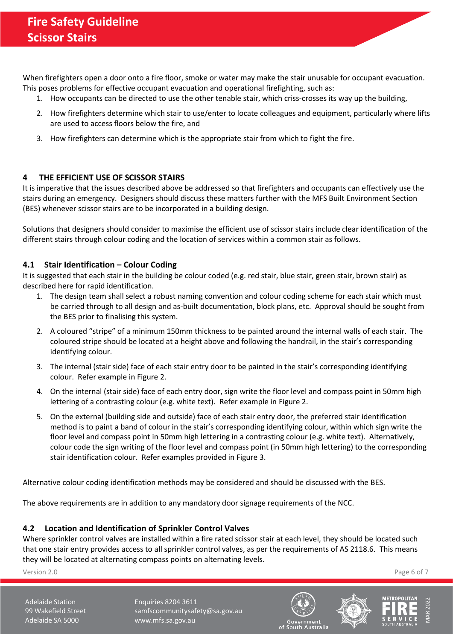When firefighters open a door onto a fire floor, smoke or water may make the stair unusable for occupant evacuation. This poses problems for effective occupant evacuation and operational firefighting, such as:

- 1. How occupants can be directed to use the other tenable stair, which criss-crosses its way up the building,
- 2. How firefighters determine which stair to use/enter to locate colleagues and equipment, particularly where lifts are used to access floors below the fire, and
- 3. How firefighters can determine which is the appropriate stair from which to fight the fire.

## <span id="page-5-0"></span>**4 THE EFFICIENT USE OF SCISSOR STAIRS**

It is imperative that the issues described above be addressed so that firefighters and occupants can effectively use the stairs during an emergency. Designers should discuss these matters further with the MFS Built Environment Section (BES) whenever scissor stairs are to be incorporated in a building design.

Solutions that designers should consider to maximise the efficient use of scissor stairs include clear identification of the different stairs through colour coding and the location of services within a common stair as follows.

## <span id="page-5-1"></span>**4.1 Stair Identification – Colour Coding**

It is suggested that each stair in the building be colour coded (e.g. red stair, blue stair, green stair, brown stair) as described here for rapid identification.

- 1. The design team shall select a robust naming convention and colour coding scheme for each stair which must be carried through to all design and as-built documentation, block plans, etc. Approval should be sought from the BES prior to finalising this system.
- 2. A coloured "stripe" of a minimum 150mm thickness to be painted around the internal walls of each stair. The coloured stripe should be located at a height above and following the handrail, in the stair's corresponding identifying colour.
- 3. The internal (stair side) face of each stair entry door to be painted in the stair's corresponding identifying colour. Refer example in [Figure 2.](#page-6-0)
- 4. On the internal (stair side) face of each entry door, sign write the floor level and compass point in 50mm high lettering of a contrasting colour (e.g. white text). Refer example in [Figure 2.](#page-6-0)
- 5. On the external (building side and outside) face of each stair entry door, the preferred stair identification method is to paint a band of colour in the stair's corresponding identifying colour, within which sign write the floor level and compass point in 50mm high lettering in a contrasting colour (e.g. white text). Alternatively, colour code the sign writing of the floor level and compass point (in 50mm high lettering) to the corresponding stair identification colour. Refer examples provided in [Figure 3.](#page-6-1)

Alternative colour coding identification methods may be considered and should be discussed with the BES.

The above requirements are in addition to any mandatory door signage requirements of the NCC.

#### <span id="page-5-2"></span>**4.2 Location and Identification of Sprinkler Control Valves**

Where sprinkler control valves are installed within a fire rated scissor stair at each level, they should be located such that one stair entry provides access to all sprinkler control valves, as per the requirements of AS 2118.6. This means they will be located at alternating compass points on alternating levels.

Version 2.0 Page 6 of 7

Adelaide Station **Enquiries 8204 3611** 99 Wakefield Street samfscommunitysafety@sa.gov.au Adelaide SA 5000 www.mfs.sa.gov.au